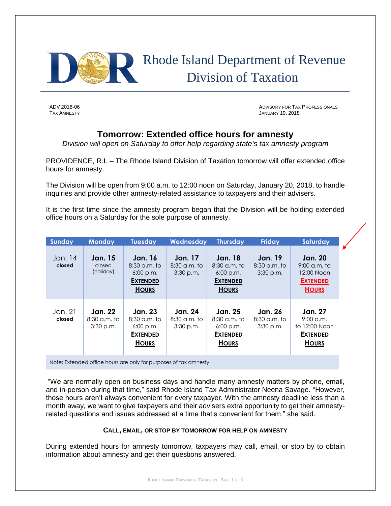

# Rhode Island Department of Revenue Division of Taxation

ADV 2018-06 ADVISORY FOR TAX PROFESSIONALS TAX AMNESTY **TAX AMNESTY TAX AMNESTY JANUARY 19, 2018** 

## **Tomorrow: Extended office hours for amnesty**

*Division will open on Saturday to offer help regarding state's tax amnesty program*

PROVIDENCE, R.I. – The Rhode Island Division of Taxation tomorrow will offer extended office hours for amnesty.

The Division will be open from 9:00 a.m. to 12:00 noon on Saturday, January 20, 2018, to handle inquiries and provide other amnesty-related assistance to taxpayers and their advisers.

It is the first time since the amnesty program began that the Division will be holding extended office hours on a Saturday for the sole purpose of amnesty.

| <b>Sunday</b>                                                     | <b>Monday</b>                                   | <b>Tuesday</b>                                                                     | Wednesday                                       | <b>Thursday</b>                                                                    | <b>Friday</b>                                   | Saturday                                                                          |
|-------------------------------------------------------------------|-------------------------------------------------|------------------------------------------------------------------------------------|-------------------------------------------------|------------------------------------------------------------------------------------|-------------------------------------------------|-----------------------------------------------------------------------------------|
| Jan. 14<br>closed                                                 | <b>Jan.</b> 15<br>closed<br>(holiday)           | <b>Jan. 16</b><br>$8:30$ a.m. to<br>6:00 p.m.<br><b>EXTENDED</b><br><b>HOURS</b>   | <b>Jan.</b> 17<br>$8:30$ a.m. to<br>$3:30$ p.m. | <b>Jan.</b> 18<br>$8:30$ a.m. to<br>6:00 p.m.<br><b>EXTENDED</b><br><b>HOURS</b>   | <b>Jan.</b> 19<br>$8:30$ a.m. to<br>$3:30$ p.m. | <b>Jan. 20</b><br>$9:00$ a.m. to<br>12:00 Noon<br><b>EXTENDED</b><br><b>HOURS</b> |
| Jan. 21<br>closed                                                 | <b>Jan. 22</b><br>$8:30$ a.m. to<br>$3:30$ p.m. | <b>Jan. 23</b><br>$8:30$ a.m. to<br>$6:00$ p.m.<br><b>EXTENDED</b><br><b>HOURS</b> | <b>Jan. 24</b><br>$8:30$ a.m. to<br>$3:30$ p.m. | <b>Jan. 25</b><br>$8:30$ a.m. to<br>$6:00$ p.m.<br><b>EXTENDED</b><br><b>HOURS</b> | <b>Jan. 26</b><br>$8:30$ a.m. to<br>$3:30$ p.m. | <b>Jan. 27</b><br>$9:00$ a.m.<br>to 12:00 Noon<br><b>EXTENDED</b><br><b>HOURS</b> |
| Note: Extended office hours are only for purposes of tax amnesty. |                                                 |                                                                                    |                                                 |                                                                                    |                                                 |                                                                                   |

"We are normally open on business days and handle many amnesty matters by phone, email, and in-person during that time," said Rhode Island Tax Administrator Neena Savage. "However, those hours aren't always convenient for every taxpayer. With the amnesty deadline less than a month away, we want to give taxpayers and their advisers extra opportunity to get their amnestyrelated questions and issues addressed at a time that's convenient for them," she said.

#### **CALL, EMAIL, OR STOP BY TOMORROW FOR HELP ON AMNESTY**

During extended hours for amnesty tomorrow, taxpayers may call, email, or stop by to obtain information about amnesty and get their questions answered.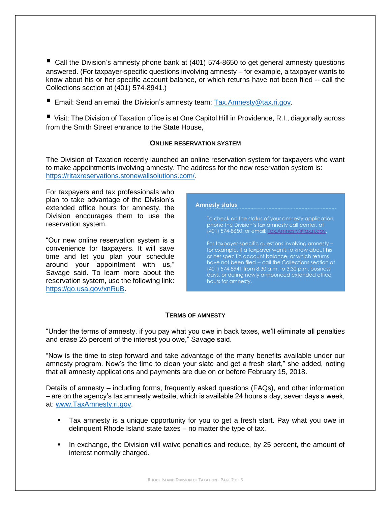■ Call the Division's amnesty phone bank at (401) 574-8650 to get general amnesty questions answered. (For taxpayer-specific questions involving amnesty – for example, a taxpayer wants to know about his or her specific account balance, or which returns have not been filed -- call the Collections section at (401) 574-8941.)

■ Email: Send an email the Division's amnesty team: [Tax.Amnesty@tax.ri.gov.](mailto:Tax.Amnesty@tax.ri.gov)

 Visit: The Division of Taxation office is at One Capitol Hill in Providence, R.I., diagonally across from the Smith Street entrance to the State House,

#### **ONLINE RESERVATION SYSTEM**

The Division of Taxation recently launched an online reservation system for taxpayers who want to make appointments involving amnesty. The address for the new reservation system is: [https://ritaxreservations.stonewallsolutions.com/.](https://ritaxreservations.stonewallsolutions.com/)

For taxpayers and tax professionals who plan to take advantage of the Division's extended office hours for amnesty, the Division encourages them to use the reservation system.

"Our new online reservation system is a convenience for taxpayers. It will save time and let you plan your schedule around your appointment with us," Savage said. To learn more about the reservation system, use the following link: [https://go.usa.gov/xnRuB.](https://go.usa.gov/xnRuB)



#### **TERMS OF AMNESTY**

"Under the terms of amnesty, if you pay what you owe in back taxes, we'll eliminate all penalties and erase 25 percent of the interest you owe," Savage said.

"Now is the time to step forward and take advantage of the many benefits available under our amnesty program. Now's the time to clean your slate and get a fresh start," she added, noting that all amnesty applications and payments are due on or before February 15, 2018.

Details of amnesty – including forms, frequently asked questions (FAQs), and other information – are on the agency's tax amnesty website, which is available 24 hours a day, seven days a week, at: [www.TaxAmnesty.ri.gov.](http://www.taxamnesty.ri.gov/)

- Tax amnesty is a unique opportunity for you to get a fresh start. Pay what you owe in delinquent Rhode Island state taxes – no matter the type of tax.
- In exchange, the Division will waive penalties and reduce, by 25 percent, the amount of interest normally charged.